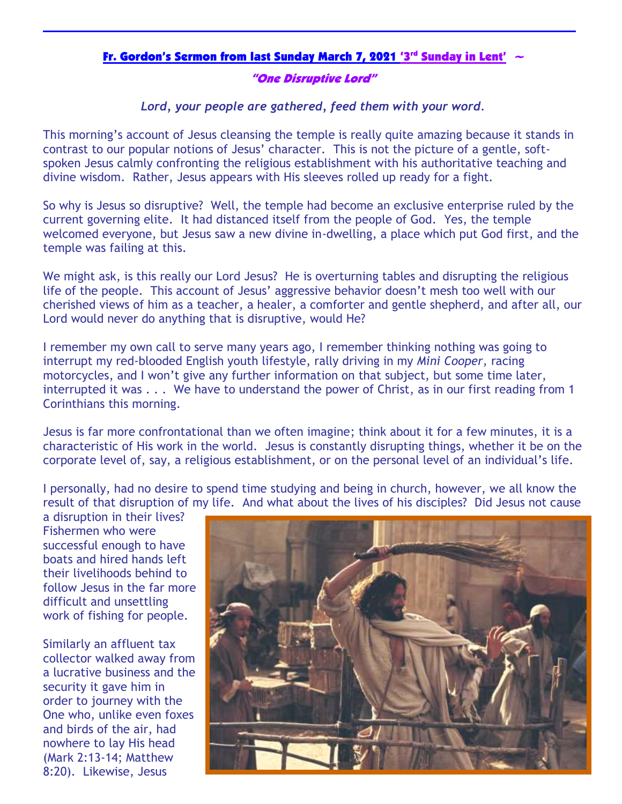## Fr. Gordon's Sermon from last Sunday March 7, 2021 '3<sup>rd</sup> Sunday in Lent'  $\sim$

## "One Disruptive Lord"

*Lord, your people are gathered, feed them with your word.*

This morning's account of Jesus cleansing the temple is really quite amazing because it stands in contrast to our popular notions of Jesus' character. This is not the picture of a gentle, softspoken Jesus calmly confronting the religious establishment with his authoritative teaching and divine wisdom. Rather, Jesus appears with His sleeves rolled up ready for a fight.

So why is Jesus so disruptive? Well, the temple had become an exclusive enterprise ruled by the current governing elite. It had distanced itself from the people of God. Yes, the temple welcomed everyone, but Jesus saw a new divine in-dwelling, a place which put God first, and the temple was failing at this.

We might ask, is this really our Lord Jesus? He is overturning tables and disrupting the religious life of the people. This account of Jesus' aggressive behavior doesn't mesh too well with our cherished views of him as a teacher, a healer, a comforter and gentle shepherd, and after all, our Lord would never do anything that is disruptive, would He?

I remember my own call to serve many years ago, I remember thinking nothing was going to interrupt my red-blooded English youth lifestyle, rally driving in my *Mini Cooper,* racing motorcycles, and I won't give any further information on that subject, but some time later, interrupted it was . . . We have to understand the power of Christ, as in our first reading from 1 Corinthians this morning.

Jesus is far more confrontational than we often imagine; think about it for a few minutes, it is a characteristic of His work in the world. Jesus is constantly disrupting things, whether it be on the corporate level of, say, a religious establishment, or on the personal level of an individual's life.

I personally, had no desire to spend time studying and being in church, however, we all know the result of that disruption of my life. And what about the lives of his disciples? Did Jesus not cause

a disruption in their lives? Fishermen who were successful enough to have boats and hired hands left their livelihoods behind to follow Jesus in the far more difficult and unsettling work of fishing for people.

Similarly an affluent tax collector walked away from a lucrative business and the security it gave him in order to journey with the One who, unlike even foxes and birds of the air, had nowhere to lay His head (Mark 2:13-14; Matthew 8:20). Likewise, Jesus

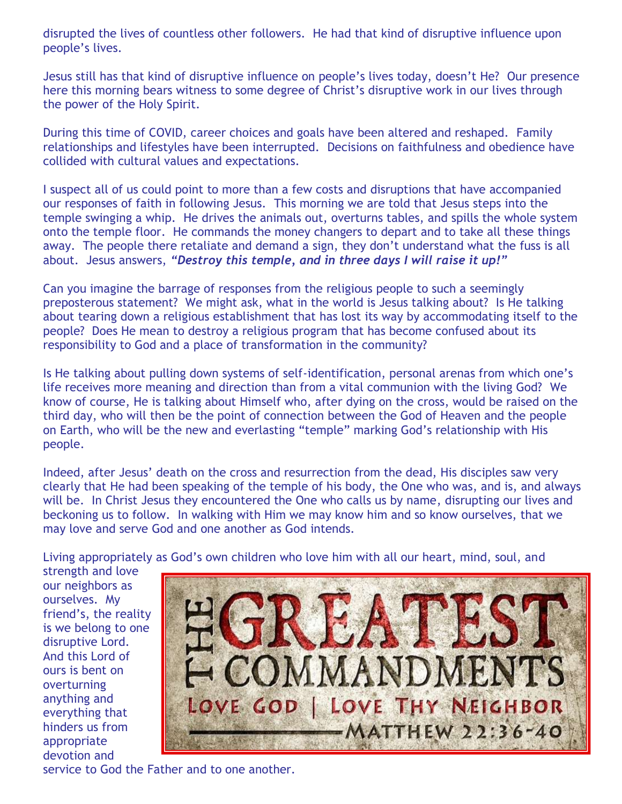disrupted the lives of countless other followers. He had that kind of disruptive influence upon people's lives.

Jesus still has that kind of disruptive influence on people's lives today, doesn't He? Our presence here this morning bears witness to some degree of Christ's disruptive work in our lives through the power of the Holy Spirit.

During this time of COVID, career choices and goals have been altered and reshaped. Family relationships and lifestyles have been interrupted. Decisions on faithfulness and obedience have collided with cultural values and expectations.

I suspect all of us could point to more than a few costs and disruptions that have accompanied our responses of faith in following Jesus. This morning we are told that Jesus steps into the temple swinging a whip. He drives the animals out, overturns tables, and spills the whole system onto the temple floor. He commands the money changers to depart and to take all these things away. The people there retaliate and demand a sign, they don't understand what the fuss is all about. Jesus answers, *"Destroy this temple, and in three days I will raise it up!"*

Can you imagine the barrage of responses from the religious people to such a seemingly preposterous statement? We might ask, what in the world is Jesus talking about? Is He talking about tearing down a religious establishment that has lost its way by accommodating itself to the people? Does He mean to destroy a religious program that has become confused about its responsibility to God and a place of transformation in the community?

Is He talking about pulling down systems of self-identification, personal arenas from which one's life receives more meaning and direction than from a vital communion with the living God? We know of course, He is talking about Himself who, after dying on the cross, would be raised on the third day, who will then be the point of connection between the God of Heaven and the people on Earth, who will be the new and everlasting "temple" marking God's relationship with His people.

Indeed, after Jesus' death on the cross and resurrection from the dead, His disciples saw very clearly that He had been speaking of the temple of his body, the One who was, and is, and always will be. In Christ Jesus they encountered the One who calls us by name, disrupting our lives and beckoning us to follow. In walking with Him we may know him and so know ourselves, that we may love and serve God and one another as God intends.

Living appropriately as God's own children who love him with all our heart, mind, soul, and

strength and love our neighbors as ourselves. My friend's, the reality is we belong to one disruptive Lord. And this Lord of ours is bent on overturning anything and everything that hinders us from appropriate devotion and



service to God the Father and to one another.